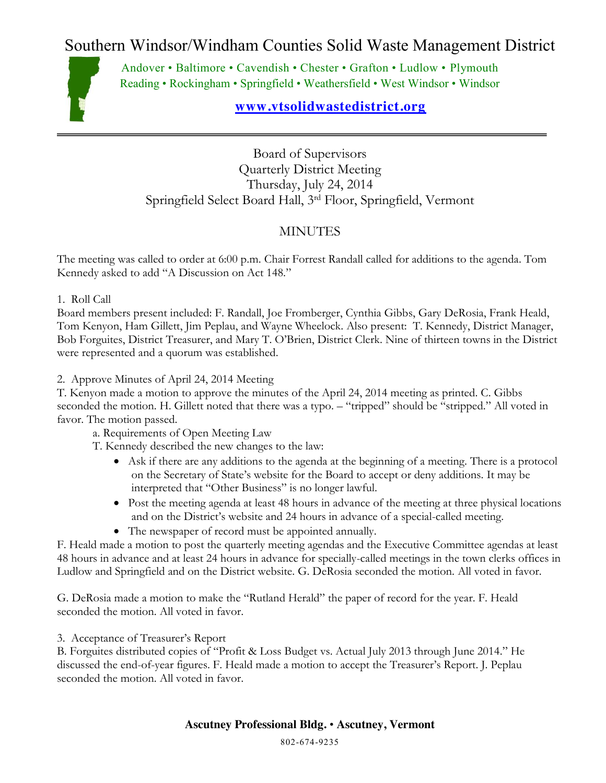## Southern Windsor/Windham Counties Solid Waste Management District



Andover • Baltimore • Cavendish • Chester • Grafton • Ludlow • Plymouth Reading • Rockingham • Springfield • Weathersfield • West Windsor • Windsor

## **[www.vtsolidwastedistrict.org](http://www.vtsolidwastedistrict.org/)**

Board of Supervisors Quarterly District Meeting Thursday, July 24, 2014 Springfield Select Board Hall, 3rd Floor, Springfield, Vermont

## MINUTES

The meeting was called to order at 6:00 p.m. Chair Forrest Randall called for additions to the agenda. Tom Kennedy asked to add "A Discussion on Act 148."

1. Roll Call

Board members present included: F. Randall, Joe Fromberger, Cynthia Gibbs, Gary DeRosia, Frank Heald, Tom Kenyon, Ham Gillett, Jim Peplau, and Wayne Wheelock. Also present: T. Kennedy, District Manager, Bob Forguites, District Treasurer, and Mary T. O'Brien, District Clerk. Nine of thirteen towns in the District were represented and a quorum was established.

2. Approve Minutes of April 24, 2014 Meeting

T. Kenyon made a motion to approve the minutes of the April 24, 2014 meeting as printed. C. Gibbs seconded the motion. H. Gillett noted that there was a typo. – "tripped" should be "stripped." All voted in favor. The motion passed.

a. Requirements of Open Meeting Law

T. Kennedy described the new changes to the law:

- x Ask if there are any additions to the agenda at the beginning of a meeting. There is a protocol on the Secretary of State's website for the Board to accept or deny additions. It may be interpreted that "Other Business" is no longer lawful.
- Post the meeting agenda at least 48 hours in advance of the meeting at three physical locations and on the District's website and 24 hours in advance of a special-called meeting.
- The newspaper of record must be appointed annually.

F. Heald made a motion to post the quarterly meeting agendas and the Executive Committee agendas at least 48 hours in advance and at least 24 hours in advance for specially-called meetings in the town clerks offices in Ludlow and Springfield and on the District website. G. DeRosia seconded the motion. All voted in favor.

G. DeRosia made a motion to make the "Rutland Herald" the paper of record for the year. F. Heald seconded the motion. All voted in favor.

3. Acceptance of Treasurer's Report

B. Forguites distributed copies of "Profit & Loss Budget vs. Actual July 2013 through June 2014." He discussed the end-of-year figures. F. Heald made a motion to accept the Treasurer's Report. J. Peplau seconded the motion. All voted in favor.

## **Ascutney Professional Bldg.** • **Ascutney, Vermont**